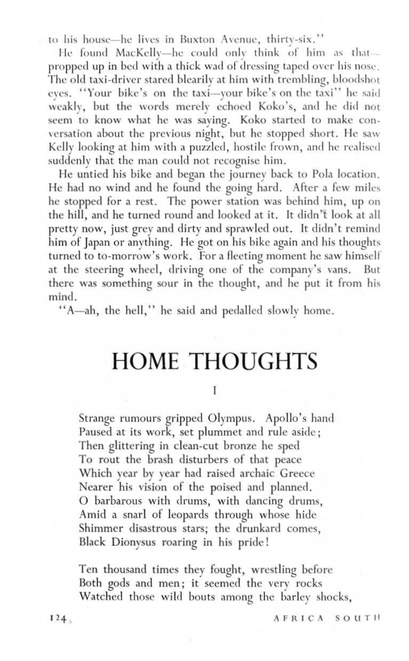to his house—he lives in Buxton Avenue, thirty-six.''  $\frac{1}{2}$ 

He found MacKelly--he could only think of him as thatpropped up in bed with a thick wad of dressing taped over his nose . The old taxi-driver stared blearily at him with trembling, bloodshot eyes. "Your bike's on the taxi-your bike's on the taxi" he said weakly, but the words merely echoed Koko's, and he did not seem to know what he was saying. Koko started to make conversation about the previous night, but he stopped short. He saw Kelly looking at him with a puzzled, hostile frown, and he realised suddenly that the man could not recognise him.

He untied his bike and began the journey back to Pola location. He had no wind and he found the going hard. After a few miles he stopped for a rest. The power station was behind him, up on the hill, and he turned round and looked at it. It didn't look at all pretty now, just grey and dirty and sprawled out. It didn't remind him of Japan or anything. He got on his bike again and his thoughts turned to to-morrow's work. For a fleeting moment he saw himself at the steering wheel, driving one of the company's vans. But there was something sour in the thought, and he put it from his mind .

"A-ah, the hell," he said and pedalled slowly home.

## HOME THOUGHTS

 $\ddot{\phantom{1}}$ 

Strange rumours gripped Olympus. Apollo's hand Paused at its work, set plummet and rule aside ; Then glittering in clean-cut bronze he sped To rout the brash disturbers of that peace Which year by year had raised archaic Greece Nearer his vision of the poised and planned. O barbarous with drums, with dancing drums, Amid a snarl of leopards through whose hide Shimmer disastrous stars; the drunkard comes, Black Dionysus roaring in his pride!

Ten thousand times they fought, wrestling before Both gods and men; it seemed the very rocks Watched those wild bouts among the barley shocks,

AFRICA SOUTH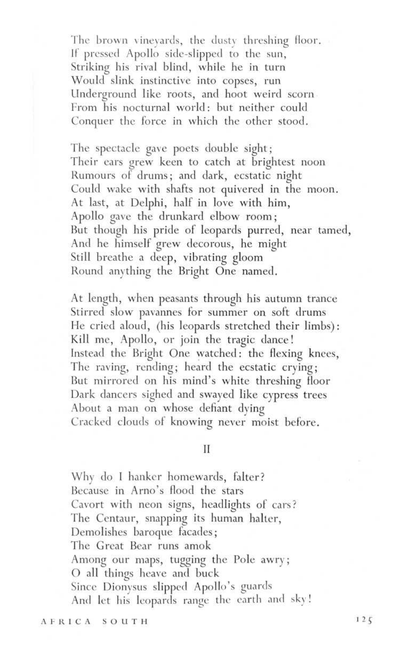The brown vinevards, the dusty threshing floor. If pressed Apollo side-slipped to the sun, Striking his rival blind, while he in turn Would slink instinctive into copses, run Underground like roots, and hoot weird scorn. From his nocturnal world: but neither could Conquer the force in which the other stood.

The spectacle gave poets double sight ; Their ears grew keen to catch at brightest noon Rumours of drums ; and dark, ecstatic night Could wake with shafts not quivered in the moon. At last, at Delphi, half in love with him, Apollo gave the drunkard elbow room ; But though his pride of leopards purred, near tamed, And he himself grew decorous, he might Still breathe a deep, vibrating gloom Round anything the Bright One named.

At length, when peasants through his autumn trance Stirred slow pavannes for summer on soft drums He cried aloud, (his leopards stretched their limbs) Kill me, Apollo, or join the tragic dance ! Instead the Bright One watched: the flexing knees, The raving, rending; heard the ecstatic crying; But mirrored on his mind's white threshing floor Dark dancers sighed and swayed like cypress trees About a man on whose defiant dying Cracked clouds of knowing never moist before.

 $\mathbf{I}$ 

Why do I hanker homewards, falter? Because in Arno's flood the stars Cavort with neon signs, headlights of cars? The Centaur, snapping its human halter, Demolishes baroque facades ; The Great Bear runs amok Among our maps, tugging the Pole awry ; O all things heave and buck Since Dionysus slipped Apollo's guards And let his leopards range the earth and sky!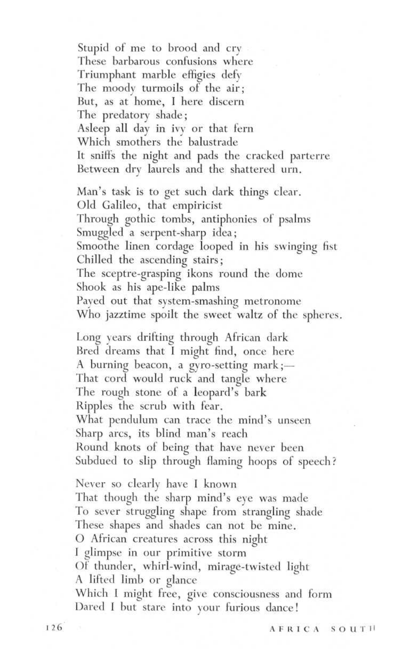Stupid of me to brood and cry These barbarous confusions where Triumphant marble effigies defy The moody turmoils of the air ; But, as at home, I here discern The predatory shade ; Asleep all day in ivy or that fern Which smothers the balustrade It sniffs the night and pads the cracked parterre Between dry laurels and the shattered urn. Man's task is to get such dark things clear . Old Galileo, that empiricist Through gothic tombs, antiphonies of psalms Smuggled a serpent-sharp idea ; Smoothe linen cordage looped in his swinging fist Chilled the ascending stairs ; The sceptre-grasping ikons round the dome Shook as his ape-like palms Payed out that system-smashing metronome Who jazztime spoilt the sweet waltz of the spheres. Long years drifting through African dark

Bred dreams that I might find, once here A burning beacon, a gyro-setting mark ;-That cord would ruck and tangle where The rough stone of a leopard's bark Ripples the scrub with fear . What pendulum can trace the mind's unseen Sharp arcs, its blind man's reach Round knots of being that have never been Subdued to slip through flaming hoops of speech?

Never so clearly have I known That though the sharp mind's eye was made To sever struggling shape from strangling shade These shapes and shades can not be mine. O African creatures across this night I glimpse in our primitive storm Of thunder, whirl-wind, mirage-twisted light A lifted limb or glance Which I might free, give consciousness and form Dared I but stare into your furious dance!

126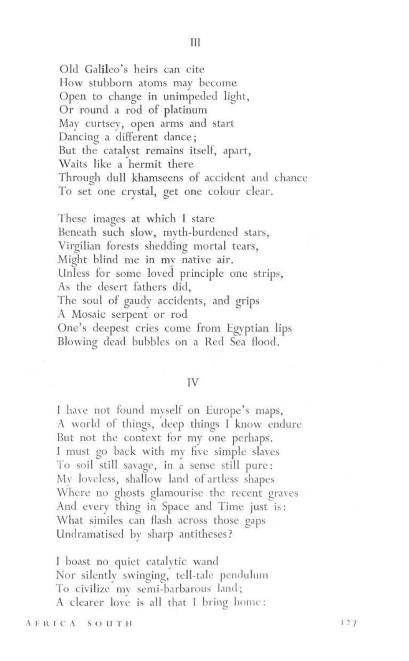Old Galileo's heirs can cite How stubborn atoms may become Open to change in unimpeded light, Or round a rod of platinum May curtsey, open arms and start Dancing a different dance ; But the catalyst remains itself, apart, Waits like a hermit there Through dull khamseens of accident and chance To set one crystal, get one colour clear .

These images at which I stare Beneath such slow, myth-burdened stars, Virgilian forests shedding mortal tears, Might blind me in my native air. Unless for some loved. principle one strips, As the desert fathers did, The soul of gaudy accidents, and grips A Mosaic serpent or rod One's deepest cries come from Egyptian lips Blowing dead bubbles on a Red Sea flood.

## IV

I have not found myself on Europe's maps, A world of things, deep things I know endure But not the context for my one perhaps. I must go back with my five simple slaves To soil still savage, in a sense still pure: My loveless, shallow land of artless shapes Where no ghosts glamourise the recent graves And every thing in Space and Time just is : What similes can flash across those gaps Undramatised by sharp antitheses?

I boast no quiet catalytic wand Nor silently swinging, tell-tale pendulum To civilize my semi-barbarous land ; A clearer love is all that I bring home: